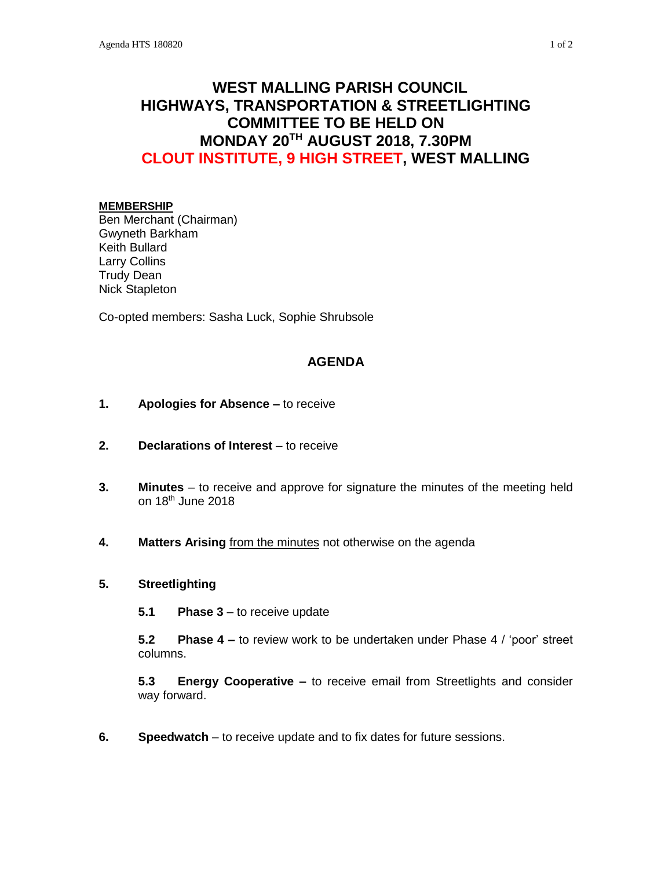# **WEST MALLING PARISH COUNCIL HIGHWAYS, TRANSPORTATION & STREETLIGHTING COMMITTEE TO BE HELD ON MONDAY 20TH AUGUST 2018, 7.30PM CLOUT INSTITUTE, 9 HIGH STREET, WEST MALLING**

#### **MEMBERSHIP**

Ben Merchant (Chairman) Gwyneth Barkham Keith Bullard Larry Collins Trudy Dean Nick Stapleton

Co-opted members: Sasha Luck, Sophie Shrubsole

# **AGENDA**

- **1. Apologies for Absence –** to receive
- **2. Declarations of Interest** to receive
- **3. Minutes**  to receive and approve for signature the minutes of the meeting held on 18th June 2018
- **4. Matters Arising** from the minutes not otherwise on the agenda

# **5. Streetlighting**

**5.1 Phase 3** – to receive update

**5.2 Phase 4 –** to review work to be undertaken under Phase 4 / 'poor' street columns.

**5.3 Energy Cooperative –** to receive email from Streetlights and consider way forward.

**6. Speedwatch** – to receive update and to fix dates for future sessions.